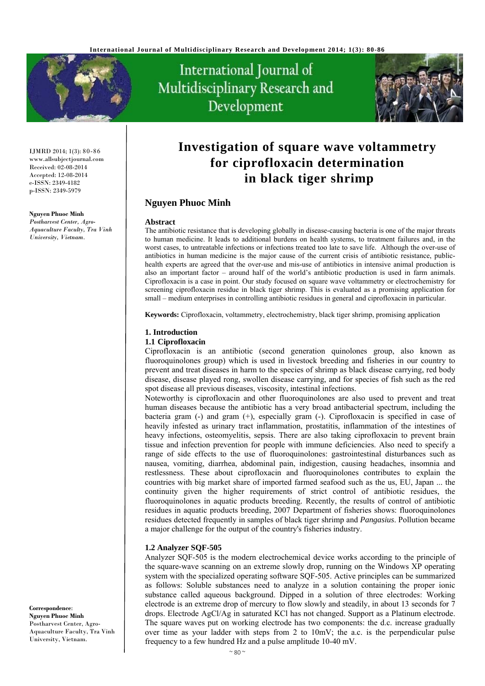

International Journal of Multidisciplinary Research and Development



IJMRD 2014; 1(3): 80-86 www.allsubjectjournal.com Received: 02-08-2014 Accepted: 12-08-2014 e-ISSN: 2349-4182 p-ISSN: 2349-5979

#### **Nguyen Phuoc Minh**

*Postharvest Center, Agro-Aquaculture Faculty, Tra Vinh University, Vietnam.* 

# **Investigation of square wave voltammetry for ciprofloxacin determination in black tiger shrimp**

## **Nguyen Phuoc Minh**

#### **Abstract**

The antibiotic resistance that is developing globally in disease-causing bacteria is one of the major threats to human medicine. It leads to additional burdens on health systems, to treatment failures and, in the worst cases, to untreatable infections or infections treated too late to save life. Although the over-use of antibiotics in human medicine is the major cause of the current crisis of antibiotic resistance, publichealth experts are agreed that the over-use and mis-use of antibiotics in intensive animal production is also an important factor – around half of the world's antibiotic production is used in farm animals. Ciprofloxacin is a case in point. Our study focused on square wave voltammetry or electrochemistry for screening ciprofloxacin residue in black tiger shrimp. This is evaluated as a promising application for small – medium enterprises in controlling antibiotic residues in general and ciprofloxacin in particular.

**Keywords:** Ciprofloxacin, voltammetry, electrochemistry, black tiger shrimp, promising application

#### **1. Introduction**

#### **1.1 Ciprofloxacin**

Ciprofloxacin is an antibiotic (second generation quinolones group, also known as fluoroquinolones group) which is used in livestock breeding and fisheries in our country to prevent and treat diseases in harm to the species of shrimp as black disease carrying, red body disease, disease played rong, swollen disease carrying, and for species of fish such as the red spot disease all previous diseases, viscosity, intestinal infections.

Noteworthy is ciprofloxacin and other fluoroquinolones are also used to prevent and treat human diseases because the antibiotic has a very broad antibacterial spectrum, including the bacteria gram (-) and gram (+), especially gram (-). Ciprofloxacin is specified in case of heavily infested as urinary tract inflammation, prostatitis, inflammation of the intestines of heavy infections, osteomyelitis, sepsis. There are also taking ciprofloxacin to prevent brain tissue and infection prevention for people with immune deficiencies. Also need to specify a range of side effects to the use of fluoroquinolones: gastrointestinal disturbances such as nausea, vomiting, diarrhea, abdominal pain, indigestion, causing headaches, insomnia and restlessness. These about ciprofloxacin and fluoroquinolones contributes to explain the countries with big market share of imported farmed seafood such as the us, EU, Japan ... the continuity given the higher requirements of strict control of antibiotic residues, the fluoroquinolones in aquatic products breeding. Recently, the results of control of antibiotic residues in aquatic products breeding, 2007 Department of fisheries shows: fluoroquinolones residues detected frequently in samples of black tiger shrimp and *Pangasius*. Pollution became a major challenge for the output of the country's fisheries industry.

#### **1.2 Analyzer SQF-505**

Analyzer SQF-505 is the modern electrochemical device works according to the principle of the square-wave scanning on an extreme slowly drop, running on the Windows XP operating system with the specialized operating software SQF-505. Active principles can be summarized as follows: Soluble substances need to analyze in a solution containing the proper ionic substance called aqueous background. Dipped in a solution of three electrodes: Working electrode is an extreme drop of mercury to flow slowly and steadily, in about 13 seconds for 7 drops. Electrode AgCl/Ag in saturated KCl has not changed. Support as a Platinum electrode. The square waves put on working electrode has two components: the d.c. increase gradually over time as your ladder with steps from 2 to  $10mV$ ; the a.c. is the perpendicular pulse frequency to a few hundred Hz and a pulse amplitude 10-40 mV.

**Correspondence**: **Nguyen Phuoc Minh**  Postharvest Center, Agro-Aquaculture Faculty, Tra Vinh University, Vietnam.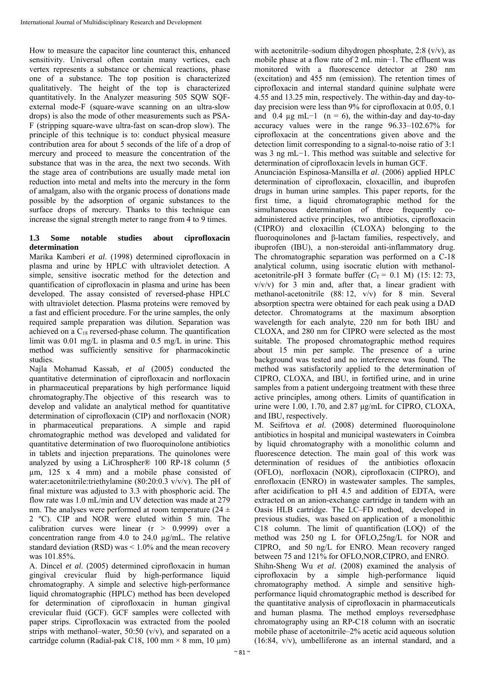How to measure the capacitor line counteract this, enhanced sensitivity. Universal often contain many vertices, each vertex represents a substance or chemical reactions, phase one of a substance. The top position is characterized qualitatively. The height of the top is characterized quantitatively. In the Analyzer measuring 505 SQW SQFexternal mode-F (square-wave scanning on an ultra-slow drops) is also the mode of other measurements such as PSA-F (stripping square-wave ultra-fast on scan-drop slow). The principle of this technique is to: conduct physical measure contribution area for about 5 seconds of the life of a drop of mercury and proceed to measure the concentration of the substance that was in the area, the next two seconds. With the stage area of contributions are usually made metal ion reduction into metal and melts into the mercury in the form of amalgam, also with the organic process of donations made possible by the adsorption of organic substances to the surface drops of mercury. Thanks to this technique can increase the signal strength meter to range from 4 to 9 times.

## **1.3 Some notable studies about ciprofloxacin determination**

Marika Kamberi *et al*. (1998) determined ciprofloxacin in plasma and urine by HPLC with ultraviolet detection. A simple, sensitive isocratic method for the detection and quantification of ciprofloxacin in plasma and urine has been developed. The assay consisted of reversed-phase HPLC with ultraviolet detection. Plasma proteins were removed by a fast and efficient procedure. For the urine samples, the only required sample preparation was dilution. Separation was achieved on a  $C_{18}$  reversed-phase column. The quantification limit was 0.01 mg/L in plasma and 0.5 mg/L in urine. This method was sufficiently sensitive for pharmacokinetic studies.

Najla Mohamad Kassab, *et al* (2005) conducted the quantitative determination of ciprofloxacin and norfloxacin in pharmaceutical preparations by high performance liquid chromatography.The objective of this research was to develop and validate an analytical method for quantitative determination of ciprofloxacin (CIP) and norfloxacin (NOR) in pharmaceutical preparations. A simple and rapid chromatographic method was developed and validated for quantitative determination of two fluoroquinolone antibiotics in tablets and injection preparations. The quinolones were analyzed by using a LiChrospher® 100 RP-18 column (5 µm, 125 x 4 mm) and a mobile phase consisted of water:acetonitrile:triethylamine (80:20:0.3 v/v/v). The pH of final mixture was adjusted to 3.3 with phosphoric acid. The flow rate was 1.0 mL/min and UV detection was made at 279 nm. The analyses were performed at room temperature ( $24 \pm$ 2 ºC). CIP and NOR were eluted within 5 min. The calibration curves were linear  $(r > 0.9999)$  over a concentration range from 4.0 to 24.0 µg/mL. The relative standard deviation (RSD) was  $\leq 1.0\%$  and the mean recovery was 101.85%.

A. Dincel *et al*. (2005) determined ciprofloxacin in human gingival crevicular fluid by high-performance liquid chromatography. A simple and selective high-performance liquid chromatographic (HPLC) method has been developed for determination of ciprofloxacin in human gingival crevicular fluid (GCF). GCF samples were collected with paper strips. Ciprofloxacin was extracted from the pooled strips with methanol–water, 50:50 (v/v), and separated on a cartridge column (Radial-pak C18, 100 mm  $\times$  8 mm, 10 um)

with acetonitrile–sodium dihydrogen phosphate, 2:8 (v/y), as mobile phase at a flow rate of 2 mL min−1. The effluent was monitored with a fluorescence detector at 280 nm (excitation) and 455 nm (emission). The retention times of ciprofloxacin and internal standard quinine sulphate were 4.55 and 13.25 min, respectively. The within-day and day-today precision were less than 9% for ciprofloxacin at 0.05, 0.1 and 0.4  $\mu$ g mL−1 (n = 6), the within-day and day-to-day accuracy values were in the range 96.33–102.67% for ciprofloxacin at the concentrations given above and the detection limit corresponding to a signal-to-noise ratio of 3:1 was 3 ng mL−1. This method was suitable and selective for determination of ciprofloxacin levels in human GCF.

Anunciación Espinosa-Mansilla *et al*. (2006) applied HPLC determination of ciprofloxacin, cloxacillin, and ibuprofen drugs in human urine samples. This paper reports, for the first time, a liquid chromatographic method for the simultaneous determination of three frequently coadministered active principles, two antibiotics, ciprofloxacin (CIPRO) and cloxacillin (CLOXA) belonging to the fluoroquinolones and β-lactam families, respectively, and ibuprofen (IBU), a non-steroidal anti-inflammatory drug. The chromatographic separation was performed on a C-18 analytical column, using isocratic elution with methanolacetonitrile-pH 3 formate buffer  $(C_T = 0.1 \text{ M})$  (15: 12: 73,  $v/v/v$ ) for 3 min and, after that, a linear gradient with methanol-acetonitrile (88: 12, v/v) for 8 min. Several absorption spectra were obtained for each peak using a DAD detector. Chromatograms at the maximum absorption wavelength for each analyte, 220 nm for both IBU and CLOXA, and 280 nm for CIPRO were selected as the most suitable. The proposed chromatographic method requires about 15 min per sample. The presence of a urine background was tested and no interference was found. The method was satisfactorily applied to the determination of CIPRO, CLOXA, and IBU, in fortified urine, and in urine samples from a patient undergoing treatment with these three active principles, among others. Limits of quantification in urine were 1.00, 1.70, and 2.87 μg/mL for CIPRO, CLOXA, and IBU, respectively.

M. Seifrtova *et al*. (2008) determined fluoroquinolone antibiotics in hospital and municipal wastewaters in Coimbra by liquid chromatography with a monolithic column and fluorescence detection. The main goal of this work was determination of residues of the antibiotics ofloxacin (OFLO), norfloxacin (NOR), ciprofloxacin (CIPRO), and enrofloxacin (ENRO) in wastewater samples. The samples, after acidification to pH 4.5 and addition of EDTA, were extracted on an anion-exchange cartridge in tandem with an Oasis HLB cartridge. The LC–FD method, developed in previous studies, was based on application of a monolithic C18 column. The limit of quantification (LOQ) of the method was 250 ng L for OFLO,25ng/L for NOR and CIPRO, and 50 ng/L for ENRO. Mean recovery ranged between 75 and 121% for OFLO,NOR,CIPRO, and ENRO. Shihn-Sheng Wu *et al*. (2008) examined the analysis of ciprofloxacin by a simple high-performance liquid chromatography method. A simple and sensitive highperformance liquid chromatographic method is described for the quantitative analysis of ciprofloxacin in pharmaceuticals and human plasma. The method employs reversedphase chromatography using an RP-C18 column with an isocratic mobile phase of acetonitrile–2% acetic acid aqueous solution (16:84, v/v), umbelliferone as an internal standard, and a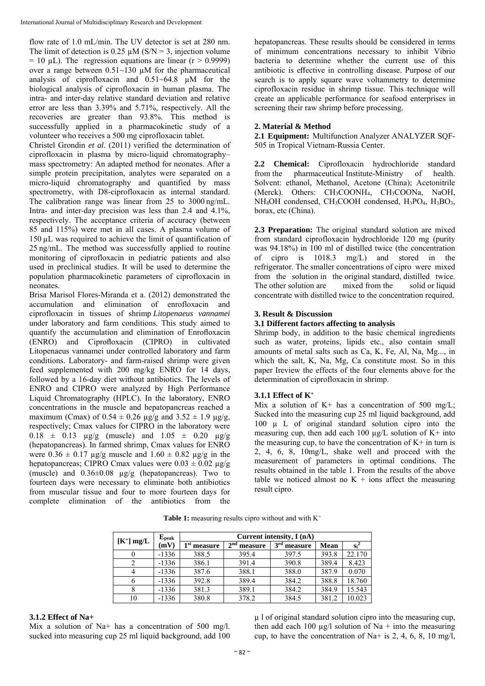flow rate of 1.0 mL/min. The UV detector is set at 280 nm. The limit of detection is 0.25  $\mu$ M (S/N = 3, injection volume  $= 10 \mu L$ ). The regression equations are linear (r > 0.9999) over a range between  $0.51~130$  µM for the pharmaceutical analysis of ciprofloxacin and 0.51~64.8 µM for the biological analysis of ciprofloxacin in human plasma. The intra- and inter-day relative standard deviation and relative error are less than 3.39% and 5.71%, respectively. All the recoveries are greater than 93.8%. This method is successfully applied in a pharmacokinetic study of a volunteer who receives a 500 mg ciprofloxacin tablet.

Christel Grondin *et al*. (2011) verified the determination of ciprofloxacin in plasma by micro-liquid chromatography– mass spectrometry: An adapted method for neonates. After a simple protein precipitation, analytes were separated on a micro-liquid chromatography and quantified by mass spectrometry, with D8-ciprofloxacin as internal standard. The calibration range was linear from 25 to 3000 ng/mL. Intra- and inter-day precision was less than 2.4 and 4.1%, respectively. The acceptance criteria of accuracy (between 85 and 115%) were met in all cases. A plasma volume of 150 µL was required to achieve the limit of quantification of 25 ng/mL. The method was successfully applied to routine monitoring of ciprofloxacin in pediatric patients and also used in preclinical studies. It will be used to determine the population pharmacokinetic parameters of ciprofloxacin in neonates.

Brisa Marisol Flores-Miranda et a. (2012) demonstrated the accumulation and elimination of enrofloxacin and ciprofloxacin in tissues of shrimp *Litopenaeus vannamei*  under laboratory and farm conditions. This study aimed to quantify the accumulation and elimination of Enrofloxacin (ENRO) and Ciprofloxacin (CIPRO) in cultivated Litopenaeus vannamei under controlled laboratory and farm conditions. Laboratory- and farm-raised shrimp were given feed supplemented with 200 mg/kg ENRO for 14 days, followed by a 16-day diet without antibiotics. The levels of ENRO and CIPRO were analyzed by High Performance Liquid Chromatography (HPLC). In the laboratory, ENRO concentrations in the muscle and hepatopancreas reached a maximum (Cmax) of  $0.54 \pm 0.26$   $\mu$ g/g and  $3.52 \pm 1.9$   $\mu$ g/g, respectively; Cmax values for CIPRO in the laboratory were  $0.18 \pm 0.13$   $\mu$ g/g (muscle) and  $1.05 \pm 0.20$   $\mu$ g/g (hepatopancreas). In farmed shrimp, Cmax values for ENRO were  $0.36 \pm 0.17$  µg/g muscle and  $1.60 \pm 0.82$  µg/g in the hepatopancreas; CIPRO Cmax values were  $0.03 \pm 0.02$   $\mu$ g/g (muscle) and  $0.36\pm0.08$   $\mu$ g/g (hepatopancreas). Two to fourteen days were necessary to eliminate both antibiotics from muscular tissue and four to more fourteen days for complete elimination of the antibiotics from the hepatopancreas. These results should be considered in terms of minimum concentrations necessary to inhibit Vibrio bacteria to determine whether the current use of this antibiotic is effective in controlling disease. Purpose of our search is to apply square wave voltammetry to determine ciprofloxacin residue in shrimp tissue. This technique will create an applicable performance for seafood enterprises in screening their raw shrimp before processing.

## **2. Material & Method**

**2.1 Equipment:** Multifunction Analyzer ANALYZER SQF-505 in Tropical Vietnam-Russia Center.

**2.2 Chemical:** Ciprofloxacin hydrochloride standard from the pharmaceutical Institute-Ministry of health. Solvent: ethanol, Methanol, Acetone (China); Acetonitrile (Merck). Others: CH3COONH4, CH3COONa, NaOH,  $NH<sub>4</sub>OH$  condensed,  $CH<sub>3</sub>COOH$  condensed,  $H<sub>3</sub>PO<sub>4</sub>$ ,  $H<sub>3</sub>BO<sub>3</sub>$ , borax, etc (China).

**2.3 Preparation:** The original standard solution are mixed from standard ciprofloxacin hydrochloride 120 mg (purity was 94.18%) in 100 ml of distilled twice (the concentration of cipro is 1018.3 mg/L) and stored in the refrigerator. The smaller concentrations of cipro were mixed from the solution in the original standard, distilled twice. The other solution are mixed from the solid or liquid concentrate with distilled twice to the concentration required.

## **3. Result & Discussion**

## **3.1 Different factors affecting to analysis**

Shrimp body, in addition to the basic chemical ingredients such as water, proteins, lipids etc., also contain small amounts of metal salts such as Ca, K, Fe, Al, Na, Mg..., in which the salt, K, Na, Mg, Ca constitute most. So in this paper Ireview the effects of the four elements above for the determination of ciprofloxacin in shrimp.

## **3.1.1 Effect of K+**

Mix a solution of  $K<sup>+</sup>$  has a concentration of 500 mg/L; Sucked into the measuring cup 25 ml liquid background, add 100 µ L of original standard solution cipro into the measuring cup, then add each 100  $\mu$ g/L solution of K+ into the measuring cup, to have the concentration of  $K^+$  in turn is 2, 4, 6, 8, 10mg/L, shake well and proceed with the measurement of parameters in optimal conditions. The results obtained in the table 1. From the results of the above table we noticed almost no  $K +$  ions affect the measuring result cipro.

Table 1: measuring results cipro without and with K<sup>+</sup>

|              | $E_{\rm peak}$ |               |                            |                         |             |                 |
|--------------|----------------|---------------|----------------------------|-------------------------|-------------|-----------------|
| $[K^+]$ mg/L | (mV)           | $1st$ measure | 2 <sub>nd</sub><br>measure | 3 <sup>rd</sup> measure | <b>Mean</b> | $\mathrm{Si}^2$ |
|              | $-1336$        | 388.5         | 395.4                      | 397.5                   | 393.8       | 22.170          |
|              | $-1336$        | 386.1         | 391.4                      | 390.8                   | 389.4       | 8.423           |
|              | $-1336$        | 387.6         | 388.1                      | 388.0                   | 387.9       | 0.070           |
|              | $-1336$        | 392.8         | 389.4                      | 384.2                   | 388.8       | 18.760          |
|              | $-1336$        | 381.3         | 389.1                      | 384.2                   | 384.9       | 15.543          |
| 10           | $-1336$        | 380.8         | 378.2                      | 384.5                   | 381.2       | 10.023          |

## **3.1.2 Effect of Na+**

Mix a solution of Na+ has a concentration of 500 mg/l. sucked into measuring cup 25 ml liquid background, add 100

µ l of original standard solution cipro into the measuring cup, then add each 100  $\mu$ g/l solution of Na + into the measuring cup, to have the concentration of Na+ is 2, 4, 6, 8, 10 mg/l,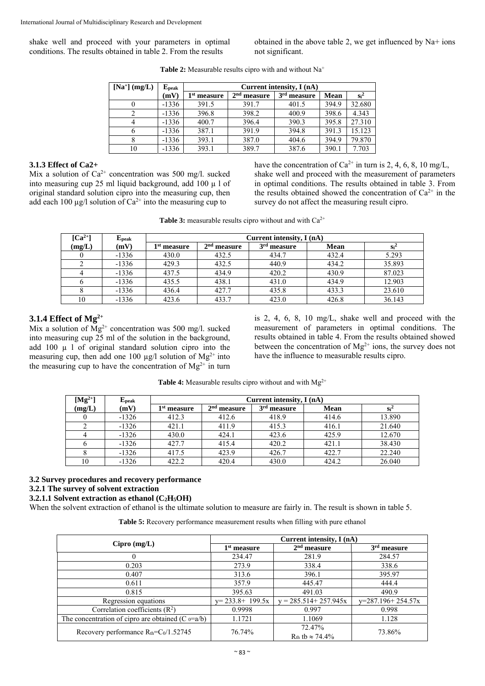shake well and proceed with your parameters in optimal conditions. The results obtained in table 2. From the results

obtained in the above table 2, we get influenced by Na+ ions not significant.

| $[Na^+]$ (mg/L) | ${\bf E_{peak}}$ | Current intensity, $I(nA)$ |               |                         |             |        |  |  |
|-----------------|------------------|----------------------------|---------------|-------------------------|-------------|--------|--|--|
|                 | (mV)             | 1 st<br>measure            | $2nd$ measure | 3 <sup>rd</sup> measure | <b>Mean</b> | $Si^2$ |  |  |
|                 | $-1336$          | 391.5                      | 391.7         | 401.5                   | 394.9       | 32.680 |  |  |
| 2               | $-1336$          | 396.8                      | 398.2         | 400.9                   | 398.6       | 4.343  |  |  |
| 4               | $-1336$          | 400.7                      | 396.4         | 390.3                   | 395.8       | 27.310 |  |  |
| 6               | $-1336$          | 387.1                      | 391.9         | 394.8                   | 391.3       | 15.123 |  |  |
|                 | $-1336$          | 393.1                      | 387.0         | 404.6                   | 394.9       | 79.870 |  |  |
| 10              | $-1336$          | 393.1                      | 389.7         | 387.6                   | 390.1       | 7.703  |  |  |

**Table 2:** Measurable results cipro with and without Na<sup>+</sup>

## **3.1.3 Effect of Ca2+**

Mix a solution of  $Ca^{2+}$  concentration was 500 mg/l. sucked into measuring cup 25 ml liquid background, add 100  $\mu$  l of original standard solution cipro into the measuring cup, then add each 100  $\mu$ g/l solution of Ca<sup>2+</sup> into the measuring cup to

have the concentration of  $Ca^{2+}$  in turn is 2, 4, 6, 8, 10 mg/L, shake well and proceed with the measurement of parameters in optimal conditions. The results obtained in table 3. From the results obtained showed the concentration of  $Ca^{2+}$  in the survey do not affect the measuring result cipro.

| <b>Table 3:</b> measurable results cipro without and with $Ca^{2+}$ |  |
|---------------------------------------------------------------------|--|
|---------------------------------------------------------------------|--|

| $\lceil Ca^{2+} \rceil$ | ${\bf E_{peak}}$ | Current intensity, I (nA) |               |               |             |        |  |
|-------------------------|------------------|---------------------------|---------------|---------------|-------------|--------|--|
| (mg/L)                  | (mV)             | $1st$ measure             | $2nd$ measure | $3rd$ measure | <b>Mean</b> | $Si^2$ |  |
|                         | $-1336$          | 430.0                     | 432.5         | 434.7         | 432.4       | 5.293  |  |
|                         | $-1336$          | 429.3                     | 432.5         | 440.9         | 434.2       | 35.893 |  |
|                         | $-1336$          | 437.5                     | 434.9         | 420.2         | 430.9       | 87.023 |  |
|                         | $-1336$          | 435.5                     | 438.1         | 431.0         | 434.9       | 12.903 |  |
|                         | $-1336$          | 436.4                     | 427.7         | 435.8         | 433.3       | 23.610 |  |
| 10                      | $-1336$          | 423.6                     | 433.7         | 423.0         | 426.8       | 36.143 |  |

# **3.1.4 Effect of Mg2+**

Mix a solution of  $Mg^{2+}$  concentration was 500 mg/l. sucked into measuring cup 25 ml of the solution in the background, add  $100 \mu$  l of original standard solution cipro into the measuring cup, then add one 100  $\mu$ g/l solution of Mg<sup>2+</sup> into the measuring cup to have the concentration of  $Mg^{2+}$  in turn

is 2, 4, 6, 8, 10 mg/L, shake well and proceed with the measurement of parameters in optimal conditions. The results obtained in table 4. From the results obtained showed between the concentration of  $Mg^{2+}$  ions, the survey does not have the influence to measurable results cipro.

Table 4: Measurable results cipro without and with Mg<sup>2+</sup>

| $[Mg^{2+}]$ | ${\bf E_{peak}}$ | Current intensity, I (nA) |                         |                         |       |        |  |
|-------------|------------------|---------------------------|-------------------------|-------------------------|-------|--------|--|
| (mg/L)      | (mV)             | 1 <sup>st</sup> measure   | 2 <sup>nd</sup> measure | 3 <sup>rd</sup> measure | Mean  | $Si^2$ |  |
|             | $-1326$          | 412.3                     | 412.6                   | 418.9                   | 414.6 | 13.890 |  |
|             | $-1326$          | 421.1                     | 411.9                   | 415.3                   | 416.1 | 21.640 |  |
|             | $-1326$          | 430.0                     | 424.1                   | 423.6                   | 425.9 | 12.670 |  |
|             | $-1326$          | 427.7                     | 415.4                   | 420.2                   | 421.1 | 38.430 |  |
|             | $-1326$          | 417.5                     | 423.9                   | 426.7                   | 422.7 | 22.240 |  |
| 10          | $-1326$          | 422.2                     | 420.4                   | 430.0                   | 424.2 | 26.040 |  |

## **3.2 Survey procedures and recovery performance**

**3.2.1 The survey of solvent extraction** 

## **3.2.1.1 Solvent extraction as ethanol (C2H5OH)**

When the solvent extraction of ethanol is the ultimate solution to measure are fairly in. The result is shown in table 5.

**Table 5:** Recovery performance measurement results when filling with pure ethanol

|                                                       | Current intensity, I (nA) |                                       |                     |  |  |  |
|-------------------------------------------------------|---------------------------|---------------------------------------|---------------------|--|--|--|
| $Cipro$ (mg/L)                                        | $1st$ measure             | $2nd$ measure                         | $3rd$ measure       |  |  |  |
|                                                       | 234.47                    | 281.9                                 | 284.57              |  |  |  |
| 0.203                                                 | 273.9                     | 338.4                                 | 338.6               |  |  |  |
| 0.407                                                 | 313.6                     | 396.1                                 | 395.97              |  |  |  |
| 0.611                                                 | 357.9                     | 445.47                                | 444.4               |  |  |  |
| 0.815                                                 | 395.63                    | 491.03                                | 490.9               |  |  |  |
| Regression equations                                  | $y=233.8+199.5x$          | $y = 285.514 + 257.945x$              | $y=287.196+254.57x$ |  |  |  |
| Correlation coefficients $(R2)$                       | 0.9998                    | 0.997                                 | 0.998               |  |  |  |
| The concentration of cipro are obtained (C $_0$ =a/b) | 1.1721                    | 1.1069                                | 1.128               |  |  |  |
| Recovery performance $R_{\text{th}}=C_0/1.52745$      | 76.74%                    | 72.47%<br>$R_{th}$ tb $\approx$ 74.4% | 73.86%              |  |  |  |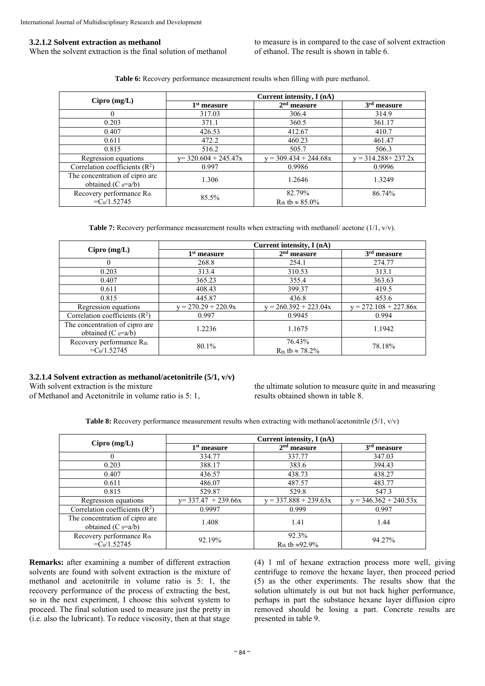#### **3.2.1.2 Solvent extraction as methanol**

When the solvent extraction is the final solution of methanol

to measure is in compared to the case of solvent extraction of ethanol. The result is shown in table 6.

**Table 6:** Recovery performance measurement results when filling with pure methanol.

|                                                          | Current intensity, I (nA) |                                        |                         |  |  |  |
|----------------------------------------------------------|---------------------------|----------------------------------------|-------------------------|--|--|--|
| $Cipro$ (mg/L)                                           | 1 <sup>st</sup> measure   | $2nd$ measure                          | 3 <sup>rd</sup> measure |  |  |  |
|                                                          | 317.03                    | 306.4                                  | 314.9                   |  |  |  |
| 0.203                                                    | 371.1                     | 360.5                                  | 361.17                  |  |  |  |
| 0.407                                                    | 426.53                    | 412.67                                 | 410.7                   |  |  |  |
| 0.611                                                    | 472.2                     | 460.23                                 | 461.47                  |  |  |  |
| 0.815                                                    | 516.2                     | 505.7                                  | 506.3                   |  |  |  |
| Regression equations                                     | $y=$ 320.604 + 245.47x    | $y = 309.434 + 244.68x$                | $y = 314.288 + 237.2x$  |  |  |  |
| Correlation coefficients $(R2)$                          | 0.997                     | 0.9986                                 | 0.9996                  |  |  |  |
| The concentration of cipro are<br>obtained (C $_0$ =a/b) | 1.306                     | 1.2646                                 | 1.3249                  |  |  |  |
| Recovery performance Rth<br>$=C_0/1.52745$               | 85.5%                     | 82.79%<br>$R_{th}$ tb $\approx 85.0\%$ | 86.74%                  |  |  |  |

**Table 7:** Recovery performance measurement results when extracting with methanol/ acetone (1/1, v/v).

|                                                          | Current intensity, I (nA) |                                       |                         |  |  |  |
|----------------------------------------------------------|---------------------------|---------------------------------------|-------------------------|--|--|--|
| $Cipro$ (mg/L)                                           | 1 <sup>st</sup> measure   | $2nd$ measure                         | 3 <sup>rd</sup> measure |  |  |  |
|                                                          | 268.8                     | 254.1                                 | 274.77                  |  |  |  |
| 0.203                                                    | 313.4                     | 310.53                                | 313.1                   |  |  |  |
| 0.407                                                    | 365.23                    | 355.4                                 | 363.63                  |  |  |  |
| 0.611                                                    | 408.43                    | 399.37                                | 419.5                   |  |  |  |
| 0.815                                                    | 445.87                    | 436.8                                 | 453.6                   |  |  |  |
| Regression equations                                     | $= 270.29 + 220.9x$       | $= 260.392 + 223.04x$                 | $y = 272.108 + 227.86x$ |  |  |  |
| Correlation coefficients $(R2)$                          | 0.997                     | 0.9945                                | 0.994                   |  |  |  |
| The concentration of cipro are<br>obtained (C $_0$ =a/b) | 1.2236                    | 1.1675                                | 1.1942                  |  |  |  |
| Recovery performance Rth<br>$=C_0/1.52745$               | 80.1%                     | 76.43%<br>$R_{th}$ tb $\approx$ 78.2% | 78.18%                  |  |  |  |

#### **3.2.1.4 Solvent extraction as methanol/acetonitrile (5/1, v/v)**

With solvent extraction is the mixture

of Methanol and Acetonitrile in volume ratio is 5: 1,

the ultimate solution to measure quite in and measuring results obtained shown in table 8.

**Table 8:** Recovery performance measurement results when extracting with methanol/acetonitrile (5/1, v/v)

|                                                          | Current intensity, I (nA) |                                             |                         |  |  |  |
|----------------------------------------------------------|---------------------------|---------------------------------------------|-------------------------|--|--|--|
| $Cipro$ (mg/L)                                           | $1st$ measure             | $2nd$ measure                               | 3 <sup>rd</sup> measure |  |  |  |
| $\theta$                                                 | 334.77                    | 337.77                                      | 347.03                  |  |  |  |
| 0.203                                                    | 388.17                    | 383.6                                       | 394.43                  |  |  |  |
| 0.407                                                    | 436.57                    | 438.73                                      | 438.27                  |  |  |  |
| 0.611                                                    | 486.07                    | 487.57                                      | 483.77                  |  |  |  |
| 0.815                                                    | 529.87                    | 529.8                                       | 547.3                   |  |  |  |
| Regression equations                                     | $y=$ 337.47 + 239.66x     | $y = 337.888 + 239.63x$                     | $y = 346.362 + 240.53x$ |  |  |  |
| Correlation coefficients $(R2)$                          | 0.9997                    | 0.999                                       | 0.997                   |  |  |  |
| The concentration of cipro are<br>obtained (C $_0=a/b$ ) | 1.408                     | 1.41                                        | 1.44                    |  |  |  |
| Recovery performance Rth<br>$=C_0/1.52745$               | 92.19%                    | 92.3%<br>R <sub>th</sub> tb $\approx$ 92.9% | 94.27%                  |  |  |  |

**Remarks:** after examining a number of different extraction solvents are found with solvent extraction is the mixture of methanol and acetonitrile in volume ratio is 5: 1, the recovery performance of the process of extracting the best, so in the next experiment, I choose this solvent system to proceed. The final solution used to measure just the pretty in (i.e. also the lubricant). To reduce viscosity, then at that stage

(4) 1 ml of hexane extraction process more well, giving centrifuge to remove the hexane layer, then proceed period (5) as the other experiments. The results show that the solution ultimately is out but not back higher performance, perhaps in part the substance hexane layer diffusion cipro removed should be losing a part. Concrete results are presented in table 9.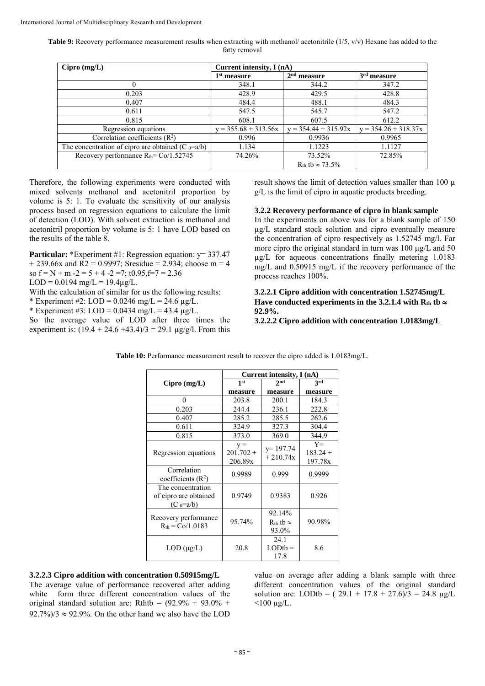**Table 9:** Recovery performance measurement results when extracting with methanol/ acetonitrile (1/5, v/v) Hexane has added to the fatty removal

| $Cipro$ (mg/L)                                        | Current intensity, $I(nA)$ |                             |                        |  |  |  |
|-------------------------------------------------------|----------------------------|-----------------------------|------------------------|--|--|--|
|                                                       | $1st$ measure              | $2nd$ measure               | $3rd$ measure          |  |  |  |
|                                                       | 348.1                      | 344.2                       | 347.2                  |  |  |  |
| 0.203                                                 | 428.9                      | 429.5                       | 428.8                  |  |  |  |
| 0.407                                                 | 484.4                      | 488.1                       | 484.3                  |  |  |  |
| 0.611                                                 | 547.5                      | 545.7                       | 547.2                  |  |  |  |
| 0.815                                                 | 608.1                      | 607.5                       | 612.2                  |  |  |  |
| Regression equations                                  | $y = 355.68 + 313.56x$     | $y = 354.44 + 315.92x$      | $y = 354.26 + 318.37x$ |  |  |  |
| Correlation coefficients $(R2)$                       | 0.996                      | 0.9936                      | 0.9965                 |  |  |  |
| The concentration of cipro are obtained (C $_0$ =a/b) | 1.134                      | 1.1223                      | 1.1127                 |  |  |  |
| Recovery performance $R_{th} = Co/1.52745$            | 74.26%                     | 73.52%                      | 72.85%                 |  |  |  |
|                                                       |                            | $R_{th}$ tb $\approx$ 73.5% |                        |  |  |  |

Therefore, the following experiments were conducted with mixed solvents methanol and acetonitril proportion by volume is 5: 1. To evaluate the sensitivity of our analysis process based on regression equations to calculate the limit of detection (LOD). With solvent extraction is methanol and acetonitril proportion by volume is 5: 1 have LOD based on the results of the table 8.

**Particular:** \*Experiment #1: Regression equation:  $y = 337.47$  $+ 239.66x$  and R2 = 0.9997; Sresidue = 2.934; choose m = 4 so  $f = N + m - 2 = 5 + 4 - 2 = 7$ ; t0.95,  $f = 7 = 2.36$ 

 $LOD = 0.0194$  mg/ $L = 19.4$ ug/ $L$ .

With the calculation of similar for us the following results:

\* Experiment #2:  $LOD = 0.0246$  mg/ $L = 24.6$  ug/ $L$ .

\* Experiment #3:  $LOD = 0.0434$  mg/L = 43.4  $\mu$ g/L.

So the average value of LOD after three times the experiment is:  $(19.4 + 24.6 + 43.4)/3 = 29.1 \text{ µg/g/l}$ . From this result shows the limit of detection values smaller than 100  $\mu$ g/L is the limit of cipro in aquatic products breeding.

#### **3.2.2 Recovery performance of cipro in blank sample**

In the experiments on above was for a blank sample of 150 µg/L standard stock solution and cipro eventually measure the concentration of cipro respectively as 1.52745 mg/l. Far more cipro the original standard in turn was 100  $\mu$ g/L and 50 µg/L for aqueous concentrations finally metering 1.0183 mg/L and 0.50915 mg/L if the recovery performance of the process reaches 100%.

## **3.2.2.1 Cipro addition with concentration 1.52745mg/L**  Have conducted experiments in the 3.2.1.4 with  $R_{th}$  tb  $\approx$ **92.9%.**

**3.2.2.2 Cipro addition with concentration 1.0183mg/L** 

|                                                           | Current intensity, I (nA)       |                                          |                                |  |  |  |
|-----------------------------------------------------------|---------------------------------|------------------------------------------|--------------------------------|--|--|--|
| $Cipro$ (mg/L)                                            | 1 <sup>st</sup>                 | 2 <sub>nd</sub>                          | <b>3rd</b>                     |  |  |  |
|                                                           | measure                         | measure                                  | measure                        |  |  |  |
| $\theta$                                                  | 203.8                           | 200.1                                    | 184.3                          |  |  |  |
| 0.203                                                     | 244.4                           | 236.1                                    | 222.8                          |  |  |  |
| 0.407                                                     | 285.2                           | 285.5                                    | 262.6                          |  |  |  |
| 0.611                                                     | 324.9                           | 327.3                                    | 304.4                          |  |  |  |
| 0.815                                                     | 373.0                           | 369.0                                    | 344.9                          |  |  |  |
| Regression equations                                      | $y =$<br>$201.702 +$<br>206.89x | $y=197.74$<br>$+210.74x$                 | $Y =$<br>$183.24 +$<br>197.78x |  |  |  |
| Correlation<br>coefficients $(R2)$                        | 0.9989                          | 0.999                                    | 0.9999                         |  |  |  |
| The concentration<br>of cipro are obtained<br>$(C_0=a/b)$ | 0.9749                          | 0.9383                                   | 0.926                          |  |  |  |
| Recovery performance<br>$R_{th} = Co/1.0183$              | 95.74%                          | 92.14%<br>$R_{th}$ tb $\approx$<br>93.0% | 90.98%                         |  |  |  |
| $LOD$ ( $\mu$ g/L)                                        | 20.8                            | 24.1<br>$LODtb =$<br>17.8                | 8.6                            |  |  |  |

**Table 10:** Performance measurement result to recover the cipro added is 1.0183mg/L.

# **3.2.2.3 Cipro addition with concentration 0.50915mg/L**

The average value of performance recovered after adding white form three different concentration values of the original standard solution are: Rthtb =  $(92.9\% + 93.0\% +$  $92.7\%/3 \approx 92.9\%$ . On the other hand we also have the LOD

value on average after adding a blank sample with three different concentration values of the original standard solution are: LODtb =  $(29.1 + 17.8 + 27.6)/3 = 24.8 \text{ µg/L}$  $<$ 100 µg/L.